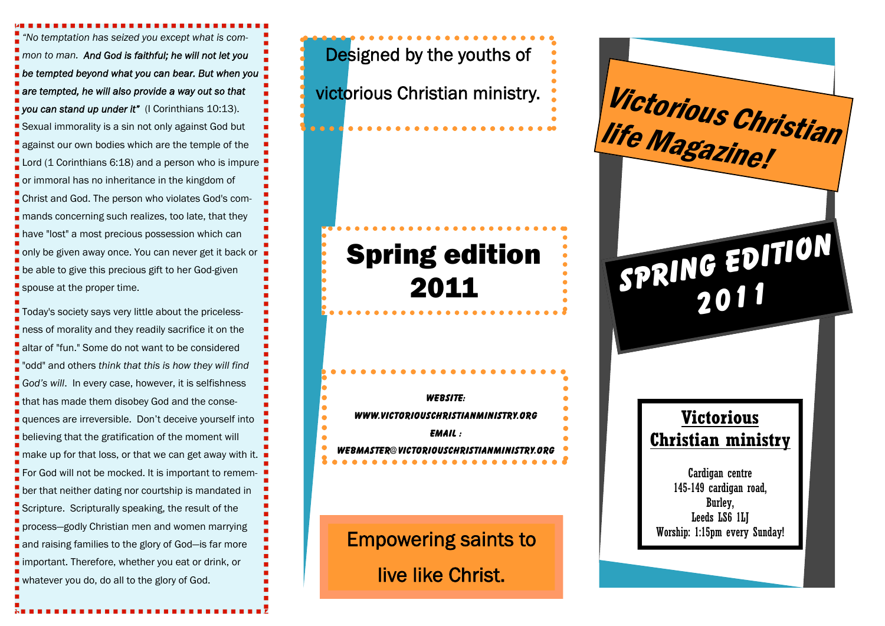*"No temptation has seized you except what is common to man. And God is faithful; he will not let you be tempted beyond what you can bear. But when you are tempted, he will also provide a way out so that you can stand up under it"* (I Corinthians 10:13). Sexual immorality is a sin not only against God but against our own bodies which are the temple of the Lord (1 Corinthians 6:18) and a person who is impure or immoral has no inheritance in the kingdom of Christ and God. The person who violates God's commands concerning such realizes, too late, that they **have "lost" a most precious possession which can** only be given away once. You can never get it back or be able to give this precious gift to her God-given spouse at the proper time.

Today's society says very little about the pricelessness of morality and they readily sacrifice it on the altar of "fun." Some do not want to be considered "odd" and others *think that this is how they will find God's will*. In every case, however, it is selfishness that has made them disobey God and the consequences are irreversible. Don't deceive yourself into **Delieving that the gratification of the moment will** make up for that loss, or that we can get away with it. For God will not be mocked. It is important to remember that neither dating nor courtship is mandated in Scripture. Scripturally speaking, the result of the process—godly Christian men and women marrying and raising families to the glory of God-is far more important. Therefore, whether you eat or drink, or whatever you do, do all to the glory of God.

Designed by the youths of victorious Christian ministry.

**WEBSITE: WWW.VICTORIOUSCHRISTIANMINISTRY.ORG EMAIL : WEBMASTER@VICTORIOUSCHRISTIANMINISTRY.ORG** 

Empowering saints to live like Christ.